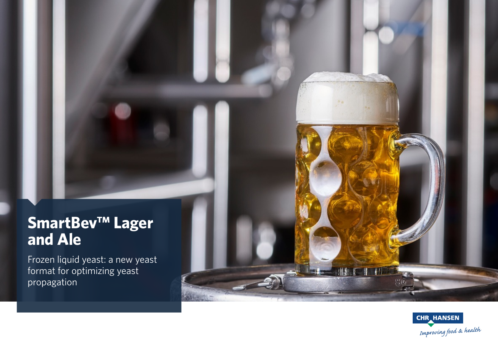## **SmartBev™ Lager and Ale**

Frozen liquid yeast: a new yeast format for optimizing yeast propagation